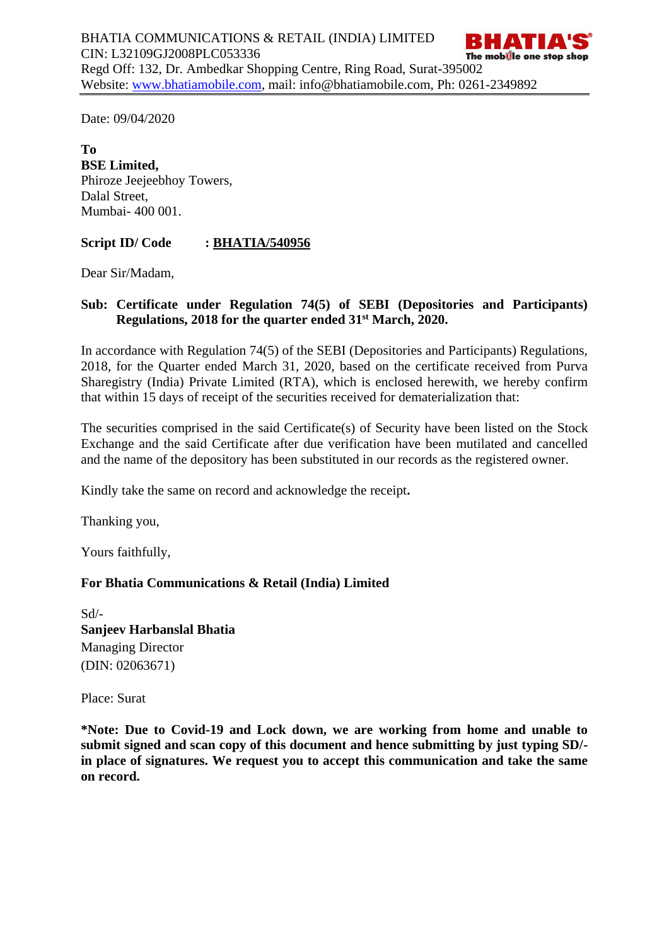Date: 09/04/2020

**To BSE Limited,**  Phiroze Jeejeebhoy Towers, Dalal Street, Mumbai- 400 001.

## **Script ID/ Code : BHATIA/540956**

Dear Sir/Madam,

# **Sub: Certificate under Regulation 74(5) of SEBI (Depositories and Participants) Regulations, 2018 for the quarter ended 31st March, 2020.**

In accordance with Regulation 74(5) of the SEBI (Depositories and Participants) Regulations, 2018, for the Quarter ended March 31, 2020, based on the certificate received from Purva Sharegistry (India) Private Limited (RTA), which is enclosed herewith, we hereby confirm that within 15 days of receipt of the securities received for dematerialization that:

The securities comprised in the said Certificate(s) of Security have been listed on the Stock Exchange and the said Certificate after due verification have been mutilated and cancelled and the name of the depository has been substituted in our records as the registered owner.

Kindly take the same on record and acknowledge the receipt**.**

Thanking you,

Yours faithfully,

#### **For Bhatia Communications & Retail (India) Limited**

Sd/- **Sanjeev Harbanslal Bhatia** Managing Director (DIN: [02063671\)](http://www.mca.gov.in/mcafoportal/companyLLPMasterData.do)

Place: Surat

**\*Note: Due to Covid-19 and Lock down, we are working from home and unable to submit signed and scan copy of this document and hence submitting by just typing SD/ in place of signatures. We request you to accept this communication and take the same on record.**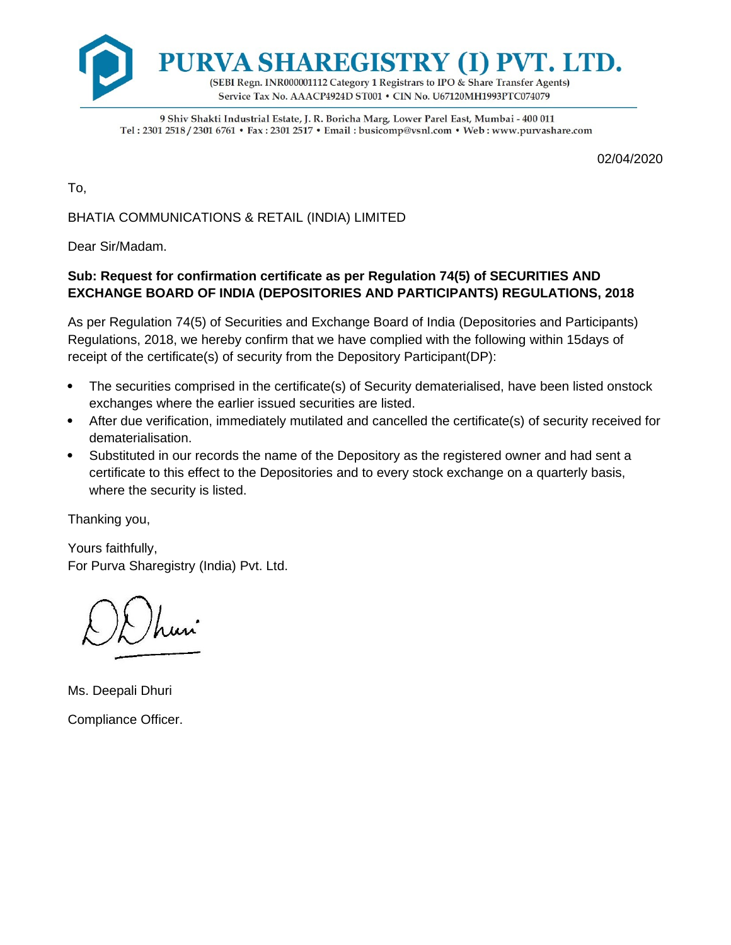

9 Shiv Shakti Industrial Estate, J. R. Boricha Marg, Lower Parel East, Mumbai - 400 011 Tel: 2301 2518 / 2301 6761 · Fax: 2301 2517 · Email: busicomp@vsnl.com · Web: www.purvashare.com

02/04/2020

To,

BHATIA COMMUNICATIONS & RETAIL (INDIA) LIMITED

Dear Sir/Madam.

## **Sub: Request for confirmation certificate as per Regulation 74(5) of SECURITIES AND EXCHANGE BOARD OF INDIA (DEPOSITORIES AND PARTICIPANTS) REGULATIONS, 2018**

As per Regulation 74(5) of Securities and Exchange Board of India (Depositories and Participants) Regulations, 2018, we hereby confirm that we have complied with the following within 15days of receipt of the certificate(s) of security from the Depository Participant(DP):

- The securities comprised in the certificate(s) of Security dematerialised, have been listed onstock exchanges where the earlier issued securities are listed.
- After due verification, immediately mutilated and cancelled the certificate(s) of security received for dematerialisation.
- Substituted in our records the name of the Depository as the registered owner and had sent a certificate to this effect to the Depositories and to every stock exchange on a quarterly basis, where the security is listed.

Thanking you,

Yours faithfully, For Purva Sharegistry (India) Pvt. Ltd.

Ms. Deepali Dhuri Compliance Officer.